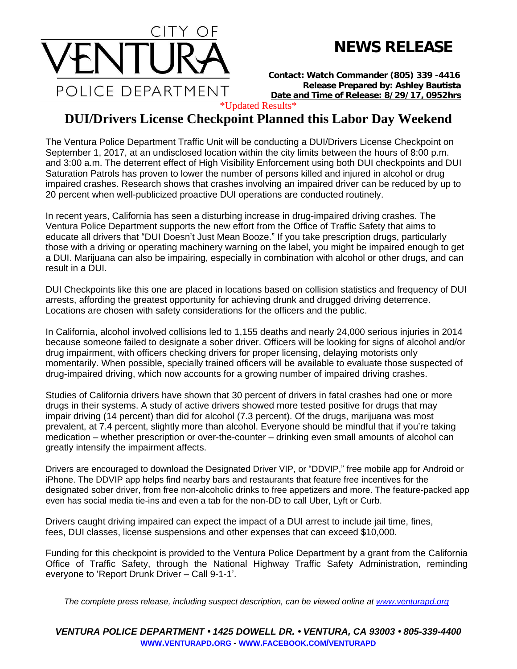

## **NEWS RELEASE**

*Contact: Watch Commander (805) 339 -4416 Release Prepared by: Ashley Bautista* **Date and Time of Release: 8/29/17, 0952hrs**

\*Updated Results\*

## **DUI/Drivers License Checkpoint Planned this Labor Day Weekend**

The Ventura Police Department Traffic Unit will be conducting a DUI/Drivers License Checkpoint on September 1, 2017, at an undisclosed location within the city limits between the hours of 8:00 p.m. and 3:00 a.m. The deterrent effect of High Visibility Enforcement using both DUI checkpoints and DUI Saturation Patrols has proven to lower the number of persons killed and injured in alcohol or drug impaired crashes. Research shows that crashes involving an impaired driver can be reduced by up to 20 percent when well-publicized proactive DUI operations are conducted routinely.

In recent years, California has seen a disturbing increase in drug-impaired driving crashes. The Ventura Police Department supports the new effort from the Office of Traffic Safety that aims to educate all drivers that "DUI Doesn't Just Mean Booze." If you take prescription drugs, particularly those with a driving or operating machinery warning on the label, you might be impaired enough to get a DUI. Marijuana can also be impairing, especially in combination with alcohol or other drugs, and can result in a DUI.

DUI Checkpoints like this one are placed in locations based on collision statistics and frequency of DUI arrests, affording the greatest opportunity for achieving drunk and drugged driving deterrence. Locations are chosen with safety considerations for the officers and the public.

In California, alcohol involved collisions led to 1,155 deaths and nearly 24,000 serious injuries in 2014 because someone failed to designate a sober driver. Officers will be looking for signs of alcohol and/or drug impairment, with officers checking drivers for proper licensing, delaying motorists only momentarily. When possible, specially trained officers will be available to evaluate those suspected of drug-impaired driving, which now accounts for a growing number of impaired driving crashes.

Studies of California drivers have shown that 30 percent of drivers in fatal crashes had one or more drugs in their systems. A study of active drivers showed more tested positive for drugs that may impair driving (14 percent) than did for alcohol (7.3 percent). Of the drugs, marijuana was most prevalent, at 7.4 percent, slightly more than alcohol. Everyone should be mindful that if you're taking medication – whether prescription or over-the-counter – drinking even small amounts of alcohol can greatly intensify the impairment affects.

Drivers are encouraged to download the Designated Driver VIP, or "DDVIP," free mobile app for Android or iPhone. The DDVIP app helps find nearby bars and restaurants that feature free incentives for the designated sober driver, from free non-alcoholic drinks to free appetizers and more. The feature-packed app even has social media tie-ins and even a tab for the non-DD to call Uber, Lyft or Curb.

Drivers caught driving impaired can expect the impact of a DUI arrest to include jail time, fines, fees, DUI classes, license suspensions and other expenses that can exceed \$10,000.

Funding for this checkpoint is provided to the Ventura Police Department by a grant from the California Office of Traffic Safety, through the National Highway Traffic Safety Administration, reminding everyone to 'Report Drunk Driver – Call 9-1-1'.

*The complete press release, including suspect description, can be viewed online at [www.venturapd.org](http://www.venturapd.org/)*